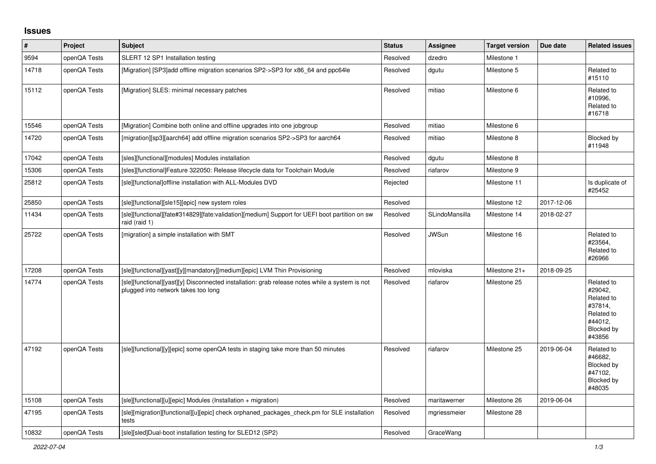## **Issues**

| #     | Project      | <b>Subject</b>                                                                                                                        | <b>Status</b> | Assignee       | <b>Target version</b> | Due date   | <b>Related issues</b>                                                                           |
|-------|--------------|---------------------------------------------------------------------------------------------------------------------------------------|---------------|----------------|-----------------------|------------|-------------------------------------------------------------------------------------------------|
| 9594  | openQA Tests | SLERT 12 SP1 Installation testing                                                                                                     | Resolved      | dzedro         | Milestone 1           |            |                                                                                                 |
| 14718 | openQA Tests | [Migration] [SP3]add offline migration scenarios SP2->SP3 for x86 64 and ppc64le                                                      | Resolved      | dgutu          | Milestone 5           |            | Related to<br>#15110                                                                            |
| 15112 | openQA Tests | [Migration] SLES: minimal necessary patches                                                                                           | Resolved      | mitiao         | Milestone 6           |            | Related to<br>#10996,<br>Related to<br>#16718                                                   |
| 15546 | openQA Tests | [Migration] Combine both online and offline upgrades into one jobgroup                                                                | Resolved      | mitiao         | Milestone 6           |            |                                                                                                 |
| 14720 | openQA Tests | [migration][sp3][aarch64] add offline migration scenarios SP2->SP3 for aarch64                                                        | Resolved      | mitiao         | Milestone 8           |            | Blocked by<br>#11948                                                                            |
| 17042 | openQA Tests | [sles][functional][modules] Modules installation                                                                                      | Resolved      | dgutu          | Milestone 8           |            |                                                                                                 |
| 15306 | openQA Tests | [sles][functional]Feature 322050: Release lifecycle data for Toolchain Module                                                         | Resolved      | riafarov       | Milestone 9           |            |                                                                                                 |
| 25812 | openQA Tests | [sle][functional]offline installation with ALL-Modules DVD                                                                            | Rejected      |                | Milestone 11          |            | Is duplicate of<br>#25452                                                                       |
| 25850 | openQA Tests | [sle][functional][sle15][epic] new system roles                                                                                       | Resolved      |                | Milestone 12          | 2017-12-06 |                                                                                                 |
| 11434 | openQA Tests | [sle][functional][fate#314829][fate:validation][medium] Support for UEFI boot partition on sw<br>raid (raid 1)                        | Resolved      | SLindoMansilla | Milestone 14          | 2018-02-27 |                                                                                                 |
| 25722 | openQA Tests | [migration] a simple installation with SMT                                                                                            | Resolved      | <b>JWSun</b>   | Milestone 16          |            | Related to<br>#23564,<br>Related to<br>#26966                                                   |
| 17208 | openQA Tests | [sle][functional][yast][y][mandatory][medium][epic] LVM Thin Provisioning                                                             | Resolved      | mloviska       | Milestone 21+         | 2018-09-25 |                                                                                                 |
| 14774 | openQA Tests | [sle][functional][yast][y] Disconnected installation: grab release notes while a system is not<br>plugged into network takes too long | Resolved      | riafarov       | Milestone 25          |            | Related to<br>#29042,<br>Related to<br>#37814,<br>Related to<br>#44012,<br>Blocked by<br>#43856 |
| 47192 | openQA Tests | [sle][functional][y][epic] some openQA tests in staging take more than 50 minutes                                                     | Resolved      | riafarov       | Milestone 25          | 2019-06-04 | Related to<br>#46682,<br>Blocked by<br>#47102,<br>Blocked by<br>#48035                          |
| 15108 | openQA Tests | [sle][functional][u][epic] Modules (Installation + migration)                                                                         | Resolved      | maritawerner   | Milestone 26          | 2019-06-04 |                                                                                                 |
| 47195 | openQA Tests | [sle][migration][functional][u][epic] check orphaned packages check.pm for SLE installation<br>tests                                  | Resolved      | mgriessmeier   | Milestone 28          |            |                                                                                                 |
| 10832 | openQA Tests | [sle][sled]Dual-boot installation testing for SLED12 (SP2)                                                                            | Resolved      | GraceWang      |                       |            |                                                                                                 |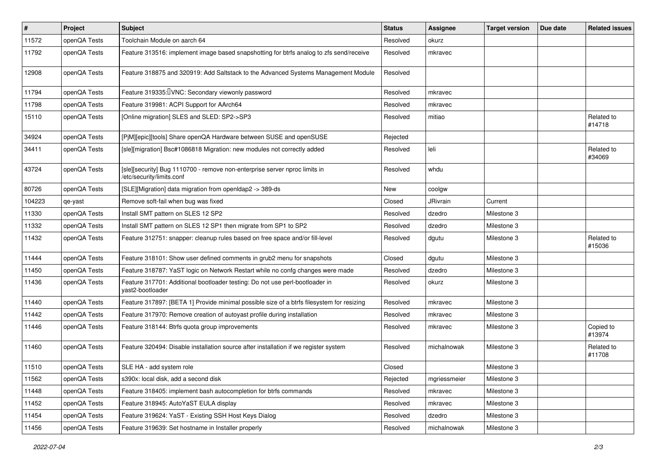| $\vert$ # | Project      | <b>Subject</b>                                                                                          | <b>Status</b> | <b>Assignee</b> | <b>Target version</b> | Due date | <b>Related issues</b> |
|-----------|--------------|---------------------------------------------------------------------------------------------------------|---------------|-----------------|-----------------------|----------|-----------------------|
| 11572     | openQA Tests | Toolchain Module on aarch 64                                                                            | Resolved      | okurz           |                       |          |                       |
| 11792     | openQA Tests | Feature 313516: implement image based snapshotting for btrfs analog to zfs send/receive                 | Resolved      | mkravec         |                       |          |                       |
| 12908     | openQA Tests | Feature 318875 and 320919: Add Saltstack to the Advanced Systems Management Module                      | Resolved      |                 |                       |          |                       |
| 11794     | openQA Tests | Feature 319335: UNC: Secondary viewonly password                                                        | Resolved      | mkravec         |                       |          |                       |
| 11798     | openQA Tests | Feature 319981: ACPI Support for AArch64                                                                | Resolved      | mkravec         |                       |          |                       |
| 15110     | openQA Tests | [Online migration] SLES and SLED: SP2->SP3                                                              | Resolved      | mitiao          |                       |          | Related to<br>#14718  |
| 34924     | openQA Tests | [PjM][epic][tools] Share openQA Hardware between SUSE and openSUSE                                      | Rejected      |                 |                       |          |                       |
| 34411     | openQA Tests | [sle][migration] Bsc#1086818 Migration: new modules not correctly added                                 | Resolved      | leli            |                       |          | Related to<br>#34069  |
| 43724     | openQA Tests | [sle][security] Bug 1110700 - remove non-enterprise server nproc limits in<br>/etc/security/limits.conf | Resolved      | whdu            |                       |          |                       |
| 80726     | openQA Tests | [SLE][Migration] data migration from openIdap2 -> 389-ds                                                | New           | coolgw          |                       |          |                       |
| 104223    | qe-yast      | Remove soft-fail when bug was fixed                                                                     | Closed        | JRivrain        | Current               |          |                       |
| 11330     | openQA Tests | Install SMT pattern on SLES 12 SP2                                                                      | Resolved      | dzedro          | Milestone 3           |          |                       |
| 11332     | openQA Tests | Install SMT pattern on SLES 12 SP1 then migrate from SP1 to SP2                                         | Resolved      | dzedro          | Milestone 3           |          |                       |
| 11432     | openQA Tests | Feature 312751: snapper: cleanup rules based on free space and/or fill-level                            | Resolved      | dgutu           | Milestone 3           |          | Related to<br>#15036  |
| 11444     | openQA Tests | Feature 318101: Show user defined comments in grub2 menu for snapshots                                  | Closed        | dgutu           | Milestone 3           |          |                       |
| 11450     | openQA Tests | Feature 318787: YaST logic on Network Restart while no confg changes were made                          | Resolved      | dzedro          | Milestone 3           |          |                       |
| 11436     | openQA Tests | Feature 317701: Additional bootloader testing: Do not use perl-bootloader in<br>vast2-bootloader        | Resolved      | okurz           | Milestone 3           |          |                       |
| 11440     | openQA Tests | Feature 317897: [BETA 1] Provide minimal possible size of a btrfs filesystem for resizing               | Resolved      | mkravec         | Milestone 3           |          |                       |
| 11442     | openQA Tests | Feature 317970: Remove creation of autoyast profile during installation                                 | Resolved      | mkravec         | Milestone 3           |          |                       |
| 11446     | openQA Tests | Feature 318144: Btrfs quota group improvements                                                          | Resolved      | mkravec         | Milestone 3           |          | Copied to<br>#13974   |
| 11460     | openQA Tests | Feature 320494: Disable installation source after installation if we register system                    | Resolved      | michalnowak     | Milestone 3           |          | Related to<br>#11708  |
| 11510     | openQA Tests | SLE HA - add system role                                                                                | Closed        |                 | Milestone 3           |          |                       |
| 11562     | openQA Tests | s390x: local disk, add a second disk                                                                    | Rejected      | mgriessmeier    | Milestone 3           |          |                       |
| 11448     | openQA Tests | Feature 318405: implement bash autocompletion for btrfs commands                                        | Resolved      | mkravec         | Milestone 3           |          |                       |
| 11452     | openQA Tests | Feature 318945: AutoYaST EULA display                                                                   | Resolved      | mkravec         | Milestone 3           |          |                       |
| 11454     | openQA Tests | Feature 319624: YaST - Existing SSH Host Keys Dialog                                                    | Resolved      | dzedro          | Milestone 3           |          |                       |
| 11456     | openQA Tests | Feature 319639: Set hostname in Installer properly                                                      | Resolved      | michalnowak     | Milestone 3           |          |                       |